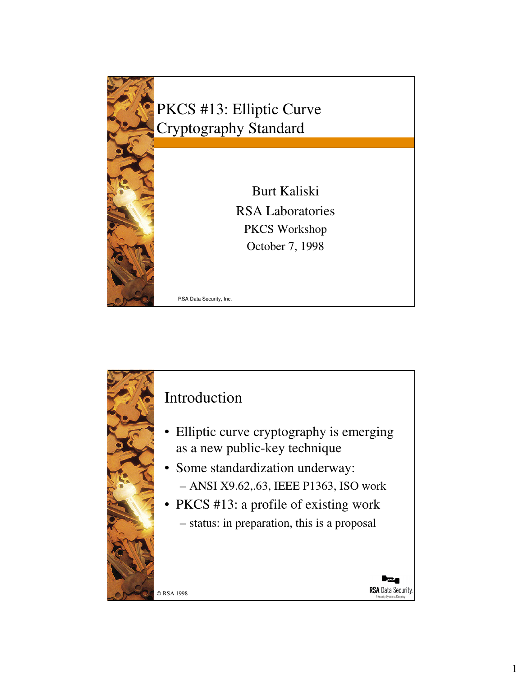

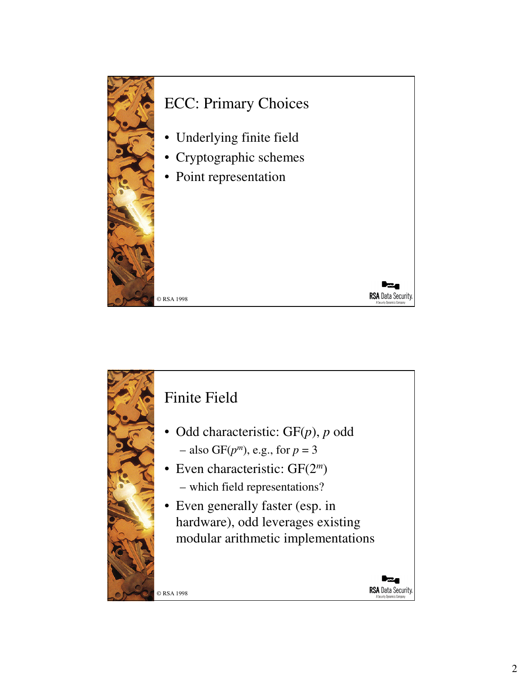

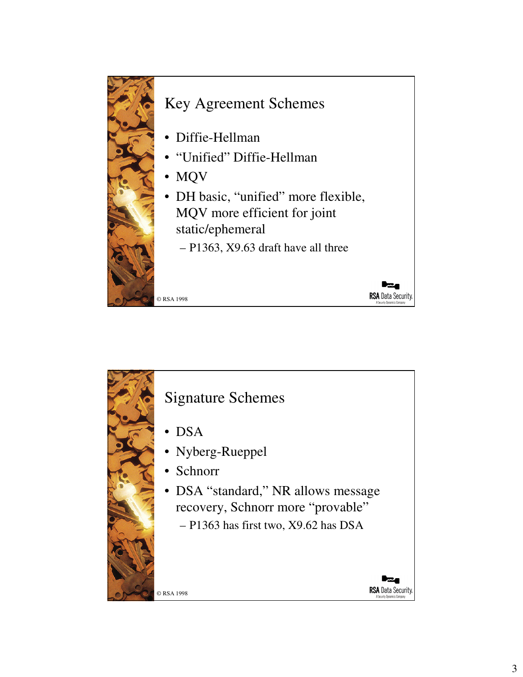

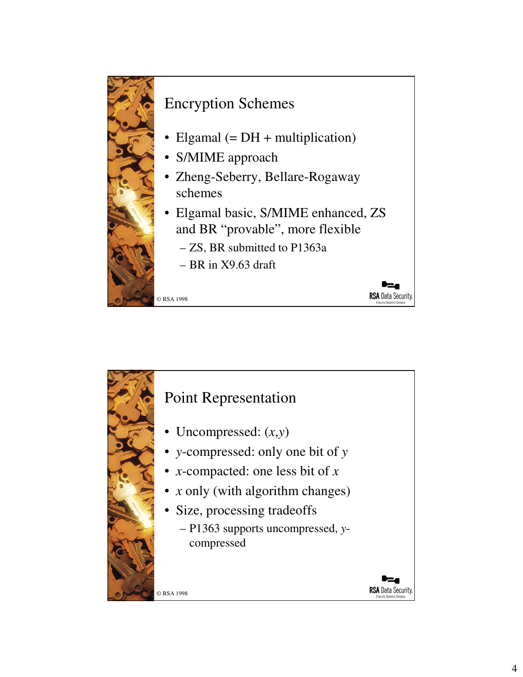

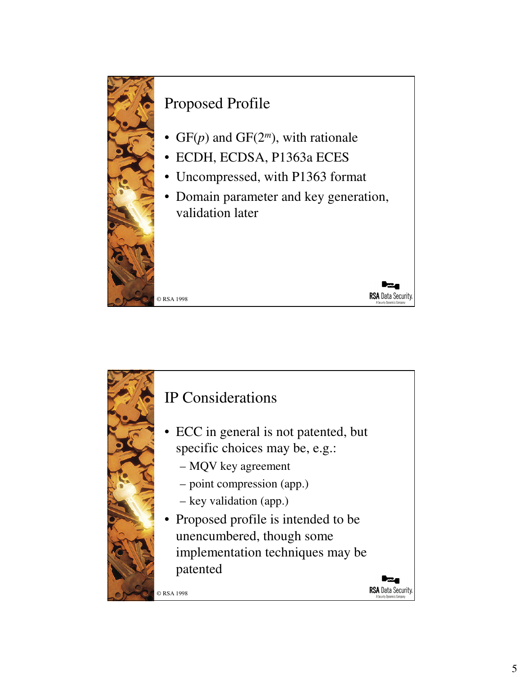![](_page_4_Picture_0.jpeg)

![](_page_4_Picture_1.jpeg)